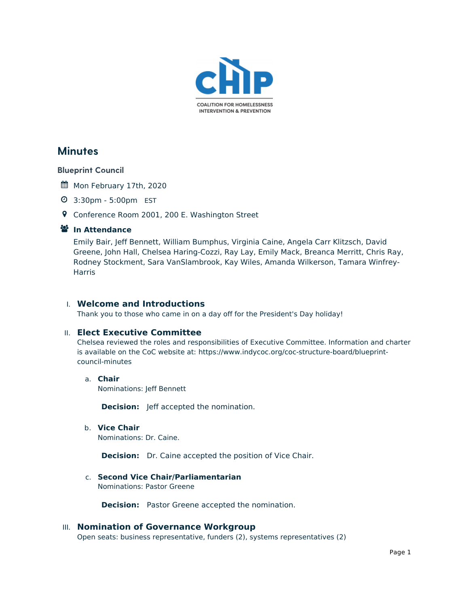

# **Minutes**

### Blueprint Council

- Mon February 17th, 2020
- 3:30pm 5:00pm EST
- Conference Room 2001, 200 E. Washington Street

### **In Attendance**

Emily Bair, Jeff Bennett, William Bumphus, Virginia Caine, Angela Carr Klitzsch, David Greene, John Hall, Chelsea Haring-Cozzi, Ray Lay, Emily Mack, Breanca Merritt, Chris Ray, Rodney Stockment, Sara VanSlambrook, Kay Wiles, Amanda Wilkerson, Tamara Winfrey-**Harris** 

### I. **Welcome and Introductions**

Thank you to those who came in on a day off for the President's Day holiday!

### II. **Elect Executive Committee**

Chelsea reviewed the roles and responsibilities of Executive Committee. Information and charter is available on the CoC website at: [https://www.indycoc.org/coc-structure-board/blueprint](https://www.indycoc.org/coc-structure-board/blueprint-council-minutes)council-minutes

a. **Chair** Nominations: Jeff Bennett

**Decision:** Jeff accepted the nomination.

b. **Vice Chair** Nominations: Dr. Caine.

**Decision:** Dr. Caine accepted the position of Vice Chair.

## c. **Second Vice Chair/Parliamentarian**

Nominations: Pastor Greene

**Decision:** Pastor Greene accepted the nomination.

### III. **Nomination of Governance Workgroup**

Open seats: business representative, funders (2), systems representatives (2)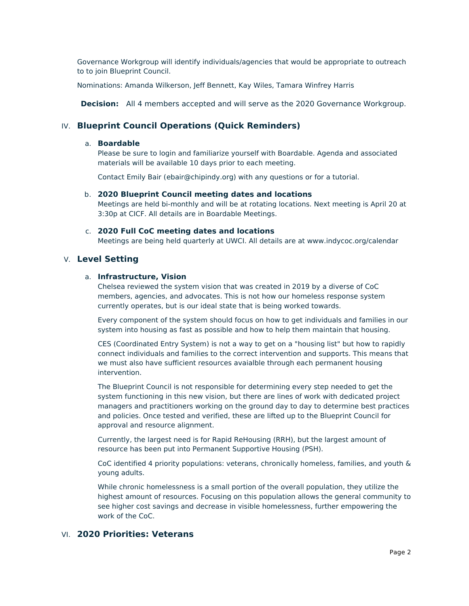Governance Workgroup will identify individuals/agencies that would be appropriate to outreach to to join Blueprint Council.

Nominations: Amanda Wilkerson, Jeff Bennett, Kay Wiles, Tamara Winfrey Harris

**Decision:** All 4 members accepted and will serve as the 2020 Governance Workgroup.

### IV. **Blueprint Council Operations (Quick Reminders)**

#### a. **Boardable**

Please be sure to login and familiarize yourself with Boardable. Agenda and associated materials will be available 10 days prior to each meeting.

Contact Emily Bair [\(ebair@chipindy.org](mailto:ebair@chipindy.org)) with any questions or for a tutorial.

#### b. **2020 Blueprint Council meeting dates and locations**

Meetings are held bi-monthly and will be at rotating locations. Next meeting is April 20 at 3:30p at CICF. All details are in Boardable Meetings.

#### c. **2020 Full CoC meeting dates and locations**

Meetings are being held quarterly at UWCI. All details are at www.indycoc.org/calendar

#### V. **Level Setting**

#### a. **Infrastructure, Vision**

Chelsea reviewed the system vision that was created in 2019 by a diverse of CoC members, agencies, and advocates. This is not how our homeless response system currently operates, but is our ideal state that is being worked towards.

Every component of the system should focus on how to get individuals and families in our system into housing as fast as possible and how to help them maintain that housing.

CES (Coordinated Entry System) is not a way to get on a "housing list" but how to rapidly connect individuals and families to the correct intervention and supports. This means that we must also have sufficient resources avaialble through each permanent housing intervention.

The Blueprint Council is not responsible for determining every step needed to get the system functioning in this new vision, but there are lines of work with dedicated project managers and practitioners working on the ground day to day to determine best practices and policies. Once tested and verified, these are lifted up to the Blueprint Council for approval and resource alignment.

Currently, the largest need is for Rapid ReHousing (RRH), but the largest amount of resource has been put into Permanent Supportive Housing (PSH).

CoC identified 4 priority populations: veterans, chronically homeless, families, and youth & young adults.

While chronic homelessness is a small portion of the overall population, they utilize the highest amount of resources. Focusing on this population allows the general community to see higher cost savings and decrease in visible homelessness, further empowering the work of the CoC.

### VI. **2020 Priorities: Veterans**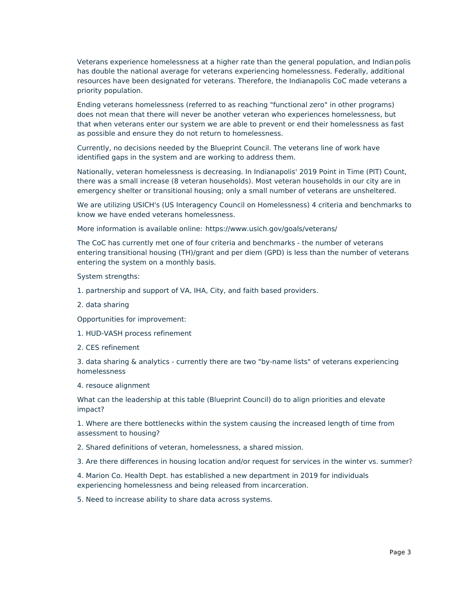Veterans experience homelessness at a higher rate than the general population, and Indianpolis has double the national average for veterans experiencing homelessness. Federally, additional resources have been designated for veterans. Therefore, the Indianapolis CoC made veterans a priority population.

Ending veterans homelessness (referred to as reaching "functional zero" in other programs) does not mean that there will never be another veteran who experiences homelessness, but that when veterans enter our system we are able to prevent or end their homelessness as fast as possible and ensure they do not return to homelessness.

Currently, no decisions needed by the Blueprint Council. The veterans line of work have identified gaps in the system and are working to address them.

Nationally, veteran homelessness is decreasing. In Indianapolis' 2019 Point in Time (PIT) Count, there was a small increase (8 veteran households). Most veteran households in our city are in emergency shelter or transitional housing; only a small number of veterans are unsheltered.

We are utilizing USICH's (US Interagency Council on Homelessness) 4 criteria and benchmarks to know we have ended veterans homelessness.

More information is available online: <https://www.usich.gov/goals/veterans/>

The CoC has currently met one of four criteria and benchmarks - the number of veterans entering transitional housing (TH)/grant and per diem (GPD) is less than the number of veterans entering the system on a monthly basis.

System strengths:

- 1. partnership and support of VA, IHA, City, and faith based providers.
- 2. data sharing

Opportunities for improvement:

- 1. HUD-VASH process refinement
- 2. CES refinement

3. data sharing & analytics - currently there are two "by-name lists" of veterans experiencing homelessness

4. resouce alignment

What can the leadership at this table (Blueprint Council) do to align priorities and elevate impact?

1. Where are there bottlenecks within the system causing the increased length of time from assessment to housing?

2. Shared definitions of veteran, homelessness, a shared mission.

3. Are there differences in housing location and/or request for services in the winter vs. summer?

4. Marion Co. Health Dept. has established a new department in 2019 for individuals experiencing homelessness and being released from incarceration.

5. Need to increase ability to share data across systems.